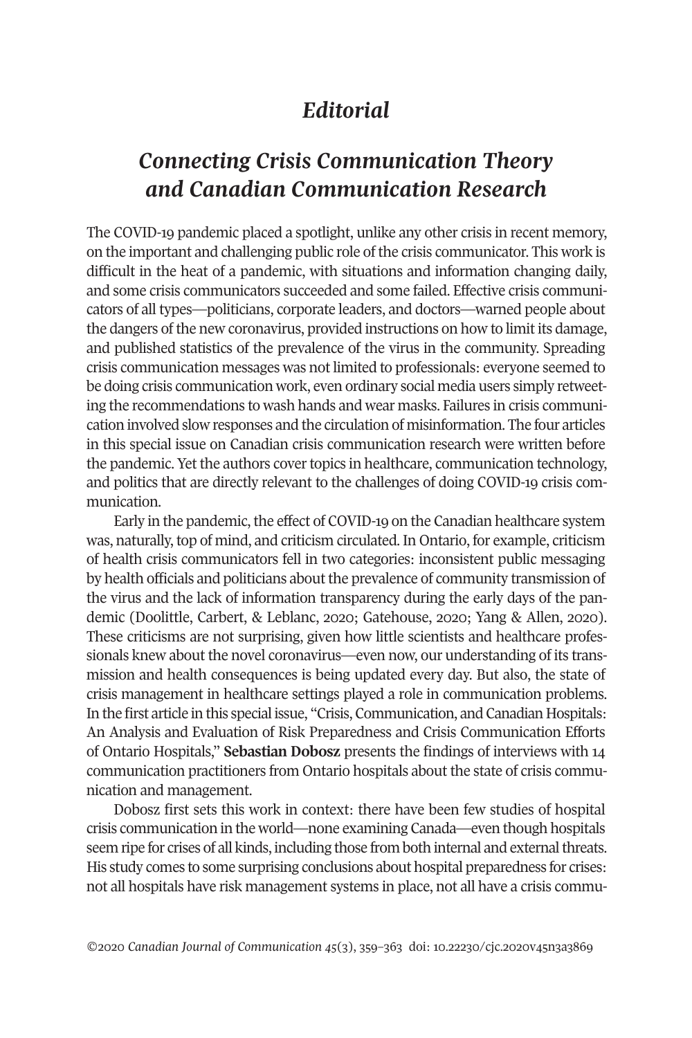# *Editorial*

# *Connecting Crisis Communication Theory and Canadian Communication Research*

The COVID-19 pandemic placed a spotlight, unlike any other crisis in recent memory, on the important and challenging public role of the crisis communicator. This work is difficult in the heat of a pandemic, with situations and information changing daily, and some crisis communicators succeeded and some failed. Effective crisis communicators of all types—politicians, corporate leaders, and doctors—warned people about the dangers of the new coronavirus, provided instructions on how to limit its damage, and published statistics of the prevalence of the virus in the community. Spreading crisis communication messages was not limited to professionals: everyone seemed to be doing crisis communication work, even ordinary social media users simply retweeting the recommendations to wash hands and wear masks. Failures in crisis communication involved slow responses and the circulation of misinformation. The four articles in this special issue on Canadian crisis communication research were written before the pandemic. Yet the authors covertopics in healthcare, communication technology, and politics that are directly relevant to the challenges of doing COVID-19 crisis communication.

Early in the pandemic, the effect of COVID-19 on the Canadian healthcare system was, naturally, top of mind, and criticism circulated. In Ontario, for example, criticism of health crisis communicators fell in two categories: inconsistent public messaging by health officials and politicians about the prevalence of community transmission of the virus and the lack of information transparency during the early days of the pandemic (Doolittle, Carbert, & Leblanc, 2020; Gatehouse, 2020; Yang & Allen, 2020). These criticisms are not surprising, given how little scientists and healthcare professionals knew about the novel coronavirus—even now, our understanding of its transmission and health consequences is being updated every day. But also, the state of crisis management in healthcare settings played a role in communication problems. In the first article in this special issue, "Crisis, Communication, and Canadian Hospitals: An Analysis and Evaluation of Risk Preparedness and Crisis Communication Efforts of Ontario Hospitals," **Sebastian Dobosz** presents the findings of interviews with 14 communication practitioners from Ontario hospitals about the state of crisis communication and management.

Dobosz first sets this work in context: there have been few studies of hospital crisis communication in the world—none examining Canada—even though hospitals seem ripe for crises of all kinds, including those from both internal and external threats. His study comes to some surprising conclusions about hospital preparedness for crises: not all hospitals have risk management systems in place, not all have a crisis commu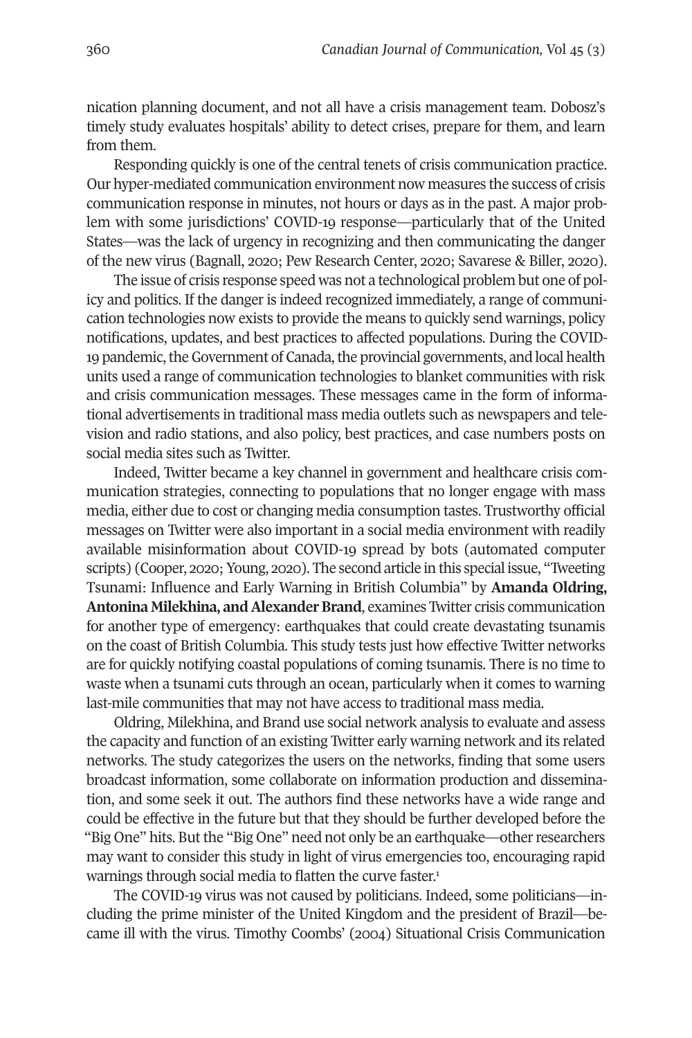nication planning document, and not all have a crisis management team. Dobosz's timely study evaluates hospitals' ability to detect crises, prepare for them, and learn from them.

Responding quickly is one of the central tenets of crisis communication practice. Our hyper-mediated communication environment now measures the success of crisis communication response in minutes, not hours or days as in the past. A major problem with some jurisdictions' COVID-19 response—particularly that of the United States—was the lack of urgency in recognizing and then communicating the danger of the new virus (Bagnall, 2020; Pew Research Center, 2020; Savarese & Biller, 2020).

The issue of crisis response speed was not a technological problem but one of policy and politics. If the danger is indeed recognized immediately, a range of communication technologies now exists to provide the means to quickly send warnings, policy notifications, updates, and best practices to affected populations. During the COVID-19 pandemic, the Government of Canada, the provincial governments, and local health units used a range of communication technologies to blanket communities with risk and crisis communication messages. These messages came in the form of informational advertisements in traditional mass media outlets such as newspapers and television and radio stations, and also policy, best practices, and case numbers posts on social media sites such as Twitter.

Indeed, Twitter became a key channel in government and healthcare crisis communication strategies, connecting to populations that no longer engage with mass media, either due to cost or changing media consumption tastes. Trustworthy official messages on Twitter were also important in a social media environment with readily available misinformation about COVID-19 spread by bots (automated computer scripts) (Cooper, 2020; Young, 2020). The second article in this special issue, "Tweeting Tsunami: Influence and Early Warning in British Columbia" by **Amanda Oldring, Antonina Milekhina, and Alexander Brand**, examines Twitter crisis communication for another type of emergency: earthquakes that could create devastating tsunamis on the coast of British Columbia. This study tests just how effective Twitter networks are for quickly notifying coastal populations of coming tsunamis. There is no time to waste when a tsunami cuts through an ocean, particularly when it comes to warning last-mile communities that may not have access to traditional mass media.

Oldring, Milekhina, and Brand use social network analysis to evaluate and assess the capacity and function of an existing Twitter early warning network and its related networks. The study categorizes the users on the networks, finding that some users broadcast information, some collaborate on information production and dissemination, and some seek it out. The authors find these networks have a wide range and could be effective in the future but that they should be further developed before the "Big One" hits. But the "Big One" need not only be an earthquake—other researchers may want to consider this study in light of virus emergencies too, encouraging rapid warnings through social media to flatten the curve faster. 1

The COVID-19 virus was not caused by politicians. Indeed, some politicians—including the prime minister of the United Kingdom and the president of Brazil—became ill with the virus. Timothy Coombs' (2004) Situational Crisis Communication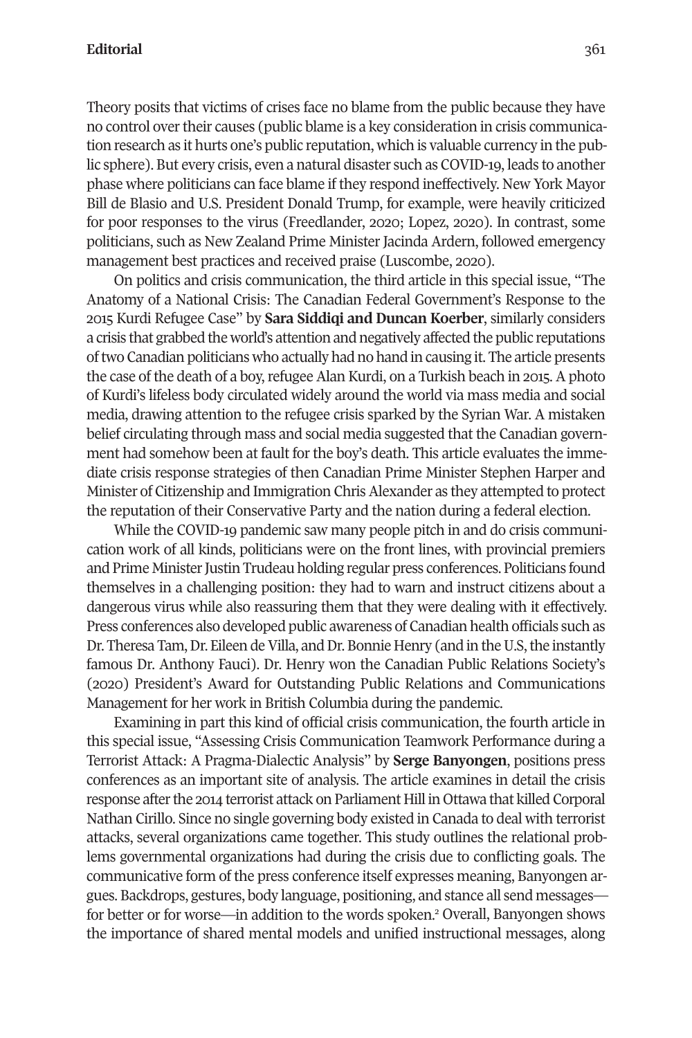Theory posits that victims of crises face no blame from the public because they have no control overtheir causes (public blame is a key consideration in crisis communication research as it hurts one's public reputation, which is valuable currency in the public sphere). But every crisis, even a natural disaster such as COVID-19, leads to another phase where politicians can face blame if they respond ineffectively. New York Mayor Bill de Blasio and U.S. President Donald Trump, for example, were heavily criticized for poor responses to the virus (Freedlander, 2020; Lopez, 2020). In contrast, some politicians, such as New Zealand Prime Minister Jacinda Ardern, followed emergency management best practices and received praise (Luscombe, 2020).

On politics and crisis communication, the third article in this special issue, "The Anatomy of a National Crisis: The Canadian Federal Government's Response to the 2015 Kurdi Refugee Case" by **Sara Siddiqi and Duncan Koerber**, similarly considers a crisis that grabbed the world's attention and negatively affected the public reputations oftwo Canadian politicians who actually had no hand in causing it. The article presents the case of the death of a boy, refugee Alan Kurdi, on a Turkish beach in 2015. A photo of Kurdi's lifeless body circulated widely around the world via mass media and social media, drawing attention to the refugee crisis sparked by the Syrian War. A mistaken belief circulating through mass and social media suggested that the Canadian government had somehow been at fault for the boy's death. This article evaluates the immediate crisis response strategies of then Canadian Prime Minister Stephen Harper and Minister of Citizenship and Immigration Chris Alexander as they attempted to protect the reputation of their Conservative Party and the nation during a federal election.

While the COVID-19 pandemic saw many people pitch in and do crisis communication work of all kinds, politicians were on the front lines, with provincial premiers and Prime Minister Justin Trudeau holding regular press conferences. Politicians found themselves in a challenging position: they had to warn and instruct citizens about a dangerous virus while also reassuring them that they were dealing with it effectively. Press conferences also developed public awareness of Canadian health officials such as Dr. Theresa Tam, Dr. Eileen de Villa, and Dr. Bonnie Henry (and in the U.S, the instantly famous Dr. Anthony Fauci). Dr. Henry won the Canadian Public Relations Society's (2020) President's Award for Outstanding Public Relations and Communications Management for her work in British Columbia during the pandemic.

Examining in part this kind of official crisis communication, the fourth article in this special issue, "Assessing Crisis Communication Teamwork Performance during a Terrorist Attack: A Pragma-Dialectic Analysis" by **Serge Banyongen**, positions press conferences as an important site of analysis. The article examines in detail the crisis response after the 2014 terrorist attack on Parliament Hill in Ottawa that killed Corporal Nathan Cirillo. Since no single governing body existed in Canada to deal with terrorist attacks, several organizations came together. This study outlines the relational problems governmental organizations had during the crisis due to conflicting goals. The communicative form of the press conference itself expresses meaning, Banyongen argues. Backdrops, gestures, body language, positioning, and stance all send messages for better or for worse—in addition to the words spoken. <sup>2</sup> Overall, Banyongen shows the importance of shared mental models and unified instructional messages, along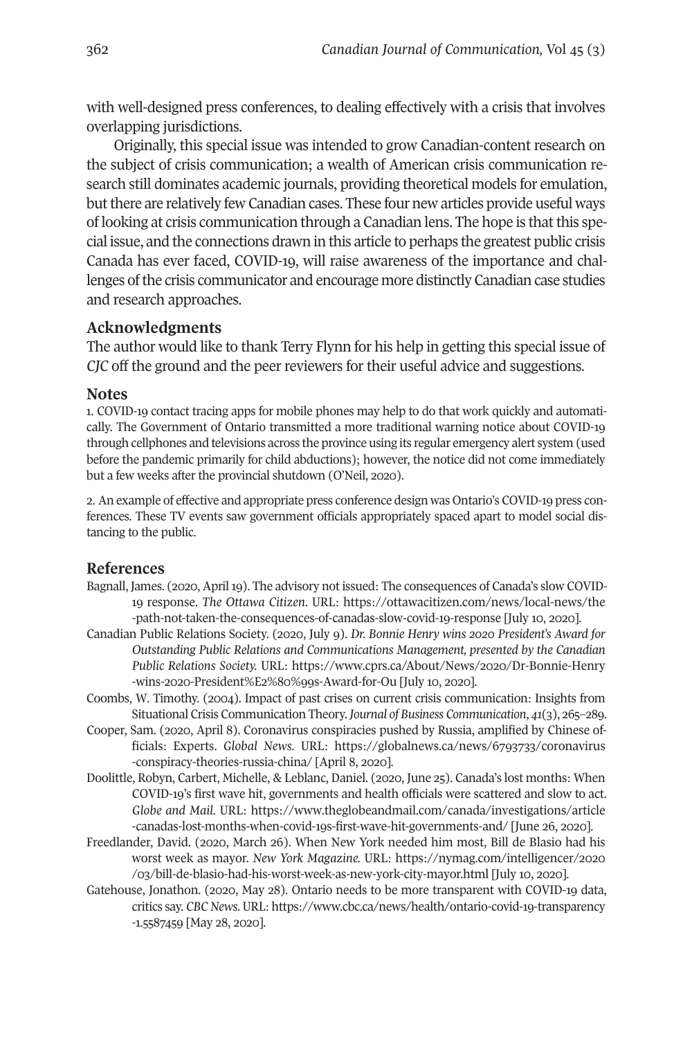with well-designed press conferences, to dealing effectively with a crisis that involves overlapping jurisdictions.

Originally, this special issue was intended to grow Canadian-content research on the subject of crisis communication; a wealth of American crisis communication research still dominates academic journals, providing theoretical models for emulation, butthere are relatively few Canadian cases. These four new articles provide useful ways of looking at crisis communication through a Canadian lens. The hope is thatthis special issue, and the connections drawn in this article to perhaps the greatest public crisis Canada has ever faced, COVID-19, will raise awareness of the importance and challenges ofthe crisis communicator and encourage more distinctly Canadian case studies and research approaches.

# **Acknowledgments**

The author would like to thank Terry Flynn for his help in getting this special issue of *CJC* off the ground and the peer reviewers for their useful advice and suggestions.

#### **Notes**

1. COVID-19 contact tracing apps for mobile phones may help to do that work quickly and automatically. The Government of Ontario transmitted a more traditional warning notice about COVID-19 through cellphones and televisions across the province using its regular emergency alert system (used before the pandemic primarily for child abductions); however, the notice did not come immediately but a few weeks after the provincial shutdown (O'Neil, 2020).

2. An example of effective and appropriate press conference design was Ontario's COVID-19 press conferences. These TV events saw government officials appropriately spaced apart to model social distancing to the public.

## **References**

- Bagnall, James. (2020, April 19). The advisory not issued: The consequences of Canada's slow COVID-19 response. *The Ottawa Citizen*. URL: https://ottawacitizen.com/news/local-news/the -path-not-taken-the-consequences-of-canadas-slow-covid-19-response [July 10, 2020].
- Canadian Public Relations Society. (2020, July 9). *Dr. Bonnie Henry wins 2020 President's Award for Outstanding Public Relations and Communications Management, presented by the Canadian Public Relations Society.* URL: https://www.cprs.ca/About/News/2020/Dr-Bonnie-Henry -wins-2020-President%E2%80%99s-Award-for-Ou [July 10, 2020].
- Coombs, W. Timothy. (2004). Impact of past crises on current crisis communication: Insights from Situational Crisis Communication Theory.*Journal of Business Communication*, *41*(3), 265–289.
- Cooper, Sam. (2020, April 8). Coronavirus conspiracies pushed by Russia, amplified by Chinese officials: Experts. *Global News*. URL: https://globalnews.ca/news/6793733/coronavirus -conspiracy-theories-russia-china/ [April 8, 2020].
- Doolittle, Robyn, Carbert, Michelle, & Leblanc, Daniel. (2020, June 25). Canada's lost months: When COVID-19's first wave hit, governments and health officials were scattered and slow to act. *Globe and Mail*. URL: https://www.theglobeandmail.com/canada/investigations/article -canadas-lost-months-when-covid-19s-first-wave-hit-governments-and/ [June 26, 2020].
- Freedlander, David. (2020, March 26). When New York needed him most, Bill de Blasio had his worst week as mayor. *New York Magazine.* URL: https://nymag.com/intelligencer/2020 /03/bill-de-blasio-had-his-worst-week-as-new-york-city-mayor.html [July 10, 2020].
- Gatehouse, Jonathon. (2020, May 28). Ontario needs to be more transparent with COVID-19 data, critics say. *CBCNews*. URL: https://www.cbc.ca/news/health/ontario-covid-19-transparency -1.5587459 [May 28, 2020].